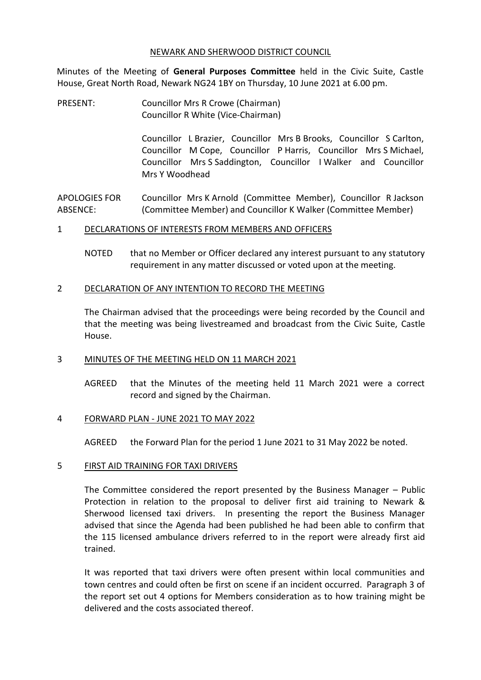### NEWARK AND SHERWOOD DISTRICT COUNCIL

Minutes of the Meeting of **General Purposes Committee** held in the Civic Suite, Castle House, Great North Road, Newark NG24 1BY on Thursday, 10 June 2021 at 6.00 pm.

PRESENT: Councillor Mrs R Crowe (Chairman) Councillor R White (Vice-Chairman)

> Councillor L Brazier, Councillor Mrs B Brooks, Councillor S Carlton, Councillor M Cope, Councillor P Harris, Councillor Mrs S Michael, Councillor Mrs S Saddington, Councillor I Walker and Councillor Mrs Y Woodhead

APOLOGIES FOR ABSENCE: Councillor Mrs K Arnold (Committee Member), Councillor R Jackson (Committee Member) and Councillor K Walker (Committee Member)

### 1 DECLARATIONS OF INTERESTS FROM MEMBERS AND OFFICERS

NOTED that no Member or Officer declared any interest pursuant to any statutory requirement in any matter discussed or voted upon at the meeting.

### 2 DECLARATION OF ANY INTENTION TO RECORD THE MEETING

The Chairman advised that the proceedings were being recorded by the Council and that the meeting was being livestreamed and broadcast from the Civic Suite, Castle House.

## 3 MINUTES OF THE MEETING HELD ON 11 MARCH 2021

AGREED that the Minutes of the meeting held 11 March 2021 were a correct record and signed by the Chairman.

## 4 FORWARD PLAN - JUNE 2021 TO MAY 2022

AGREED the Forward Plan for the period 1 June 2021 to 31 May 2022 be noted.

#### 5 FIRST AID TRAINING FOR TAXI DRIVERS

The Committee considered the report presented by the Business Manager – Public Protection in relation to the proposal to deliver first aid training to Newark & Sherwood licensed taxi drivers. In presenting the report the Business Manager advised that since the Agenda had been published he had been able to confirm that the 115 licensed ambulance drivers referred to in the report were already first aid trained.

It was reported that taxi drivers were often present within local communities and town centres and could often be first on scene if an incident occurred. Paragraph 3 of the report set out 4 options for Members consideration as to how training might be delivered and the costs associated thereof.